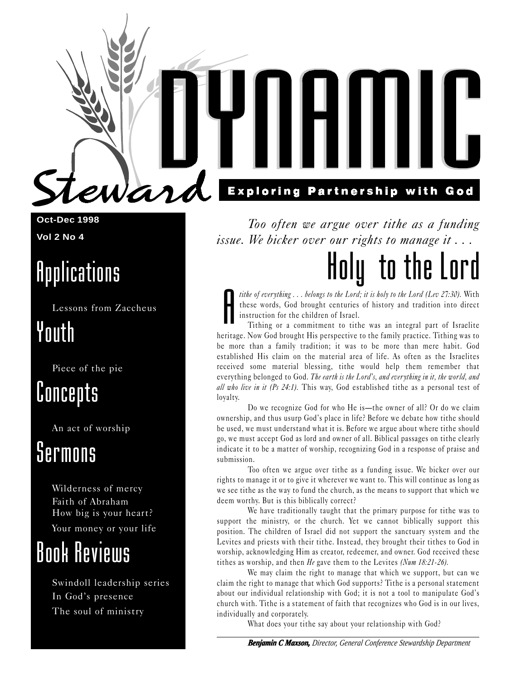**Oct-Dec 1998 Vol 2 No 4**

### Applications

Lessons from Zaccheus

war

### Youth

Piece of the pie

### Concepts

An act of worship

### Sermons

Wilderness of mercy Faith of Abraham How big is your heart? Your money or your life

## Book Reviews

Swindoll leadership series In God's presence The soul of ministry

### **Exploring Partnership with God**

Too often we argue over tithe as a funding issue. We bicker over our rights to manage it . . .

# Holy to the Lord

A tithe of everything . . . belongs to the Lord; it is holy to the Lord (Lev 27:30). With these words, God brought centuries of history and tradition into direct instruction for the children of Israel.

Tithing or a commitment to tithe was an integral part of Israelite heritage. Now God brought His perspective to the family practice. Tithing was to be more than a family tradition; it was to be more than mere habit. God established His claim on the material area of life. As often as the Israelites received some material blessing, tithe would help them remember that everything belonged to God. The earth is the Lord's, and everything in it, the world, and all who live in it (Ps 24:1). This way, God established tithe as a personal test of loyalty.

Do we recognize God for who He is—the owner of all? Or do we claim ownership, and thus usurp God's place in life? Before we debate how tithe should be used, we must understand what it is. Before we argue about where tithe should go, we must accept God as lord and owner of all. Biblical passages on tithe clearly indicate it to be a matter of worship, recognizing God in a response of praise and submission.

Too often we argue over tithe as a funding issue. We bicker over our rights to manage it or to give it wherever we want to. This will continue as long as we see tithe as the way to fund the church, as the means to support that which we deem worthy. But is this biblically correct?

We have traditionally taught that the primary purpose for tithe was to support the ministry, or the church. Yet we cannot biblically support this position. The children of Israel did not support the sanctuary system and the Levites and priests with their tithe. Instead, they brought their tithes to God in worship, acknowledging Him as creator, redeemer, and owner. God received these tithes as worship, and then He gave them to the Levites (Num 18:21-26).

We may claim the right to manage that which we support, but can we claim the right to manage that which God supports? Tithe is a personal statement about our individual relationship with God; it is not a tool to manipulate God's church with. Tithe is a statement of faith that recognizes who God is in our lives, individually and corporately.

What does your tithe say about your relationship with God?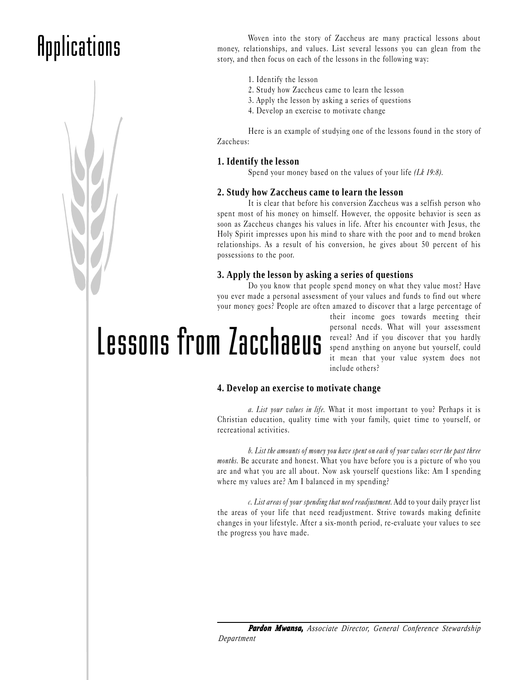## Applications



Woven into the story of Zaccheus are many practical lessons about money, relationships, and values. List several lessons you can glean from the story, and then focus on each of the lessons in the following way:

- 1. Identify the lesson
- 2. Study how Zaccheus came to learn the lesson
- 3. Apply the lesson by asking a series of questions
- 4. Develop an exercise to motivate change

Here is an example of studying one of the lessons found in the story of Zaccheus:

### **1. Identify the lesson**

Spend your money based on the values of your life (Lk 19:8).

#### **2. Study how Zaccheus came to learn the lesson**

It is clear that before his conversion Zaccheus was a selfish person who spent most of his money on himself. However, the opposite behavior is seen as soon as Zaccheus changes his values in life. After his encounter with Jesus, the Holy Spirit impresses upon his mind to share with the poor and to mend broken relationships. As a result of his conversion, he gives about 50 percent of his possessions to the poor.

### **3. Apply the lesson by asking a series of questions**

Do you know that people spend money on what they value most? Have you ever made a personal assessment of your values and funds to find out where your money goes? People are often amazed to discover that a large percentage of

Lessons from Zacchaeus

their income goes towards meeting their personal needs. What will your assessment reveal? And if you discover that you hardly spend anything on anyone but yourself, could it mean that your value system does not include others?

### **4. Develop an exercise to motivate change**

a. List your values in life. What it most important to you? Perhaps it is Christian education, quality time with your family, quiet time to yourself, or recreational activities.

b. List the amounts of money you have spent on each of your values over the past three months. Be accurate and honest. What you have before you is a picture of who you are and what you are all about. Now ask yourself questions like: Am I spending where my values are? Am I balanced in my spending?

c. List areas of your spending that need readjustment. Add to your daily prayer list the areas of your life that need readjustment. Strive towards making definite changes in your lifestyle. After a six-month period, re-evaluate your values to see the progress you have made.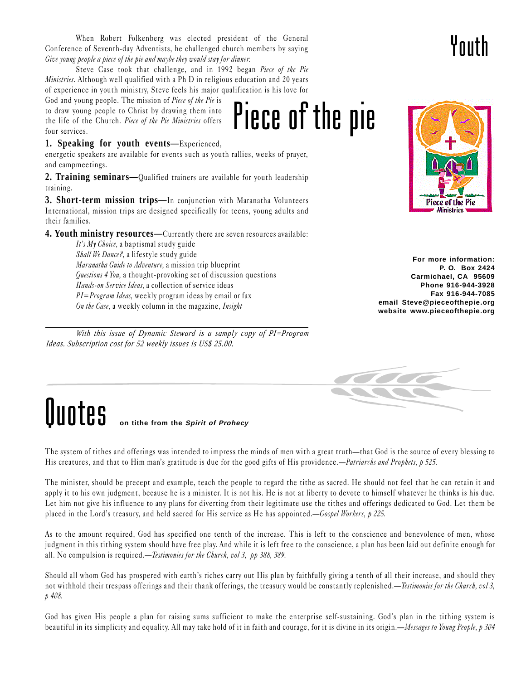When Robert Folkenberg was elected president of the General Conference of Seventh-day Adventists, he challenged church members by saying Give young people a piece of the pie and maybe they would stay for dinner.

Steve Case took that challenge, and in 1992 began Piece of the Pie Ministries. Although well qualified with a Ph D in religious education and 20 years of experience in youth ministry, Steve feels his major qualification is his love for

God and young people. The mission of *Piece of the Pie* is to draw young people to Christ by drawing them into the life of the Church. Piece of the Pie Ministries offers four services.

### **1. Speaking for youth events—**Experienced,

energetic speakers are available for events such as youth rallies, weeks of prayer, and campmeetings.

**2. Training seminars—**Qualified trainers are available for youth leadership training.

**3. Short-term mission trips—**In conjunction with Maranatha Volunteers International, mission trips are designed specifically for teens, young adults and their families.

**4. Youth ministry resources—**Currently there are seven resources available:

It's  $My$  Choice, a baptismal study guide Shall We Dance?, a lifestyle study guide Maranatha Guide to Adventure, a mission trip blueprint Questions 4 You, a thought-provoking set of discussion questions Hands-on Service Ideas, a collection of service ideas PI=Program Ideas, weekly program ideas by email or fax On the Case, a weekly column in the magazine, Insight

*With this issue of Dynamic Steward is a samply copy of PI=Program Ideas. Subscription cost for 52 weekly issues is US\$ 25.00.*



**For more information: P. O. Box 2424 Carmichael, CA 95609 Phone 916-944-3928 Fax 916-944-7085 email Steve@pieceofthepie.org website www.pieceofthepie.org**



### **Ouotes on tithe from the Spirit of Prohecy**

The system of tithes and offerings was intended to impress the minds of men with a great truth—that God is the source of every blessing to His creatures, and that to Him man's gratitude is due for the good gifts of His providence.—*Patriarchs and Prophets*,  $p$  525.

Piece of the pie

The minister, should be precept and example, teach the people to regard the tithe as sacred. He should not feel that he can retain it and apply it to his own judgment, because he is a minister. It is not his. He is not at liberty to devote to himself whatever he thinks is his due. Let him not give his influence to any plans for diverting from their legitimate use the tithes and offerings dedicated to God. Let them be placed in the Lord's treasury, and held sacred for His service as He has appointed.—Gospel Workers, p 225.

As to the amount required, God has specified one tenth of the increase. This is left to the conscience and benevolence of men, whose judgment in this tithing system should have free play. And while it is left free to the conscience, a plan has been laid out definite enough for all. No compulsion is required.—*Testimonies for the Church, vol 3, pp 388, 389*.

Should all whom God has prospered with earth's riches carry out His plan by faithfully giving a tenth of all their increase, and should they not withhold their trespass offerings and their thank offerings, the treasury would be constantly replenished.—Testimonies for the Church, vol 3, p 408.

God has given His people a plan for raising sums sufficient to make the enterprise self-sustaining. God's plan in the tithing system is beautiful in its simplicity and equality. All may take hold of it in faith and courage, for it is divine in its origin.—Messages to Young People, p 304

## Youth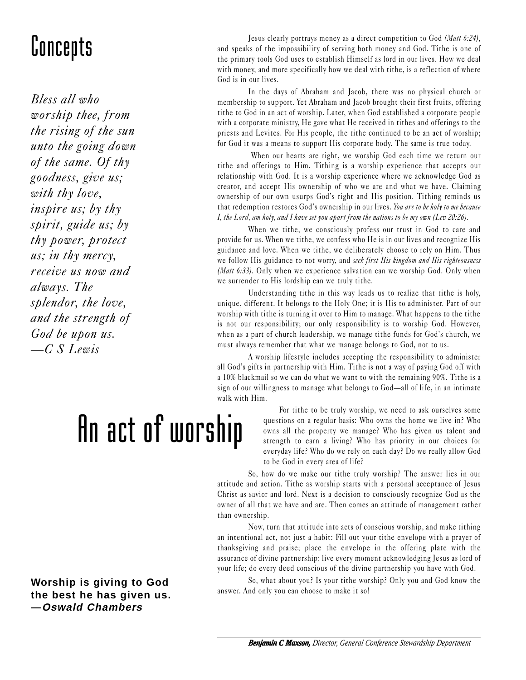Bless all who worship thee, from the rising of the sun unto the going down of the same. Of thy goodness, give us; with thy love, inspire us; by thy spirit, guide us; by thy power, protect us; in thy mercy, receive us now and always. The splendor, the love, and the strength of God be upon us.  $-C S L$ ewis

# An act of worship

Jesus clearly portrays money as a direct competition to God (Matt 6:24),<br>and speaks of the impossibility of serving both money and God. Tithe is one of<br>the primary tools God uses to establish Himself as lord in our lives. and speaks of the impossibility of serving both money and God. Tithe is one of the primary tools God uses to establish Himself as lord in our lives. How we deal with money, and more specifically how we deal with tithe, is a reflection of where God is in our lives.

> In the days of Abraham and Jacob, there was no physical church or membership to support. Yet Abraham and Jacob brought their first fruits, offering tithe to God in an act of worship. Later, when God established a corporate people with a corporate ministry, He gave what He received in tithes and offerings to the priests and Levites. For His people, the tithe continued to be an act of worship; for God it was a means to support His corporate body. The same is true today.

> When our hearts are right, we worship God each time we return our tithe and offerings to Him. Tithing is a worship experience that accepts our relationship with God. It is a worship experience where we acknowledge God as creator, and accept His ownership of who we are and what we have. Claiming ownership of our own usurps God's right and His position. Tithing reminds us that redemption restores God's ownership in our lives. You are to be holy to me because I, the Lord, am holy, and I have set you apart from the nations to be my own (Lev 20:26).

> When we tithe, we consciously profess our trust in God to care and provide for us. When we tithe, we confess who He is in our lives and recognize His guidance and love. When we tithe, we deliberately choose to rely on Him. Thus we follow His guidance to not worry, and seek first His kingdom and His righteousness (*Matt 6:33*). Only when we experience salvation can we worship God. Only when we surrender to His lordship can we truly tithe.

> Understanding tithe in this way leads us to realize that tithe is holy, unique, different. It belongs to the Holy One; it is His to administer. Part of our worship with tithe is turning it over to Him to manage. What happens to the tithe is not our responsibility; our only responsibility is to worship God. However, when as a part of church leadership, we manage tithe funds for God's church, we must always remember that what we manage belongs to God, not to us.

> A worship lifestyle includes accepting the responsibility to administer all God's gifts in partnership with Him. Tithe is not a way of paying God off with a 10% blackmail so we can do what we want to with the remaining 90%. Tithe is a sign of our willingness to manage what belongs to God—all of life, in an intimate walk with Him.

> > For tithe to be truly worship, we need to ask ourselves some questions on a regular basis: Who owns the home we live in? Who owns all the property we manage? Who has given us talent and strength to earn a living? Who has priority in our choices for everyday life? Who do we rely on each day? Do we really allow God to be God in every area of life?

So, how do we make our tithe truly worship? The answer lies in our attitude and action. Tithe as worship starts with a personal acceptance of Jesus Christ as savior and lord. Next is a decision to consciously recognize God as the owner of all that we have and are. Then comes an attitude of management rather than ownership.

Now, turn that attitude into acts of conscious worship, and make tithing an intentional act, not just a habit: Fill out your tithe envelope with a prayer of thanksgiving and praise; place the envelope in the offering plate with the assurance of divine partnership; live every moment acknowledging Jesus as lord of your life; do every deed conscious of the divine partnership you have with God.

So, what about you? Is your tithe worship? Only you and God know the answer. And only you can choose to make it so!

**Worship is giving to God the best he has given us. —Oswald Chambers**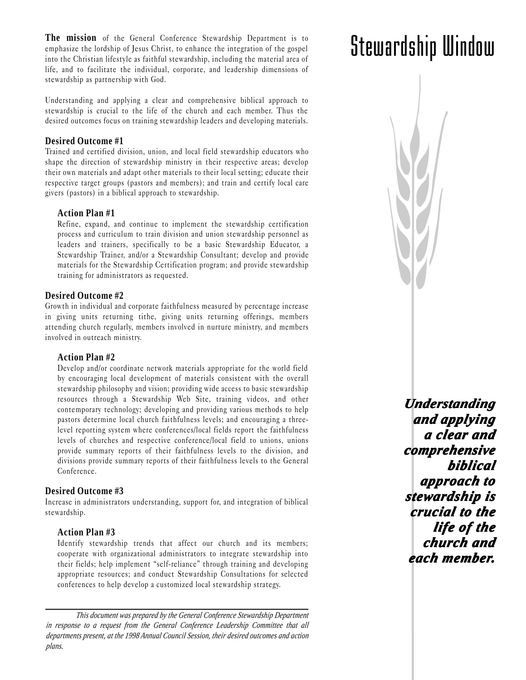**The mission** of the General Conference Stewardship Department is to emphasize the lordship of Jesus Christ, to enhance the integration of the gospel into the Christian lifestyle as faithful stewardship, including the material area of life, and to facilitate the individual, corporate, and leadership dimensions of stewardship as partnership with God.

Understanding and applying a clear and comprehensive biblical approach to stewardship is crucial to the life of the church and each member. Thus the desired outcomes focus on training stewardship leaders and developing materials.

### **Desired Outcome #1**

Trained and certified division, union, and local field stewardship educators who shape the direction of stewardship ministry in their respective areas; develop their own materials and adapt other materials to their local setting; educate their respective target groups (pastors and members); and train and certify local care givers (pastors) in a biblical approach to stewardship.

### **Action Plan #1**

Refine, expand, and continue to implement the stewardship certification process and curriculum to train division and union stewardship personnel as leaders and trainers, specifically to be a basic Stewardship Educator, a Stewardship Trainer, and/or a Stewardship Consultant; develop and provide materials for the Stewardship Certification program; and provide stewardship training for administrators as requested.

### **Desired Outcome #2**

Growth in individual and corporate faithfulness measured by percentage increase in giving units returning tithe, giving units returning offerings, members attending church regularly, members involved in nurture ministry, and members involved in outreach ministry.

#### **Action Plan #2**

Develop and/or coordinate network materials appropriate for the world field by encouraging local development of materials consistent with the overall stewardship philosophy and vision; providing wide access to basic stewardship resources through a Stewardship Web Site, training videos, and other contemporary technology; developing and providing various methods to help pastors determine local church faithfulness levels; and encouraging a threelevel reporting system where conferences/local fields report the faithfulness levels of churches and respective conference/local field to unions, unions provide summary reports of their faithfulness levels to the division, and divisions provide summary reports of their faithfulness levels to the General Conference.

### **Desired Outcome #3**

Increase in administrators understanding, support for, and integration of biblical stewardship.

### **Action Plan #3**

Identify stewardship trends that affect our church and its members; cooperate with organizational administrators to integrate stewardship into their fields; help implement "self-reliance" through training and developing appropriate resources; and conduct Stewardship Consultations for selected conferences to help develop a customized local stewardship strategy.

*Understanding Understanding and applying applying a clear and a clear and comprehensive biblical biblical approach to stewardship is dship is crucial to the crucial to life of the church and each member h member.*

## Stewardship Window

*This document was prepared by the General Conference Stewardship Department in response to a request from the General Conference Leadership Committee that all departments present, at the 1998 Annual Council Session, their desired outcomes and action plans.*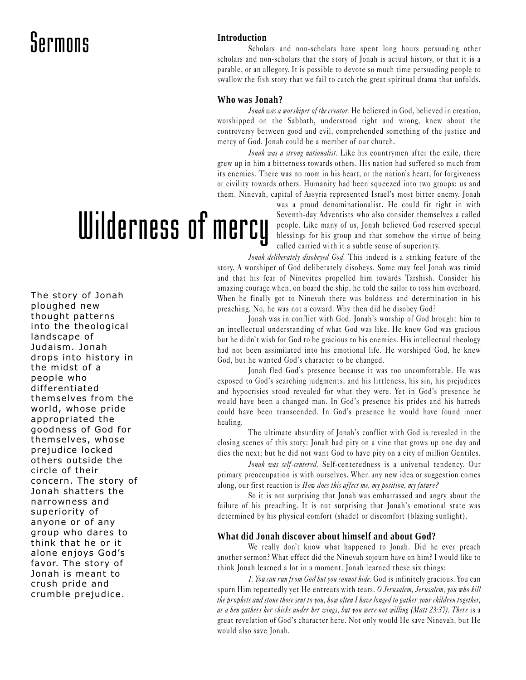### Sermons

### **Introduction**

Scholars and non-scholars have spent long hours persuading other scholars and non-scholars that the story of Jonah is actual history, or that it is a parable, or an allegory. It is possible to devote so much time persuading people to swallow the fish story that we fail to catch the great spiritual drama that unfolds.

### **Who was Jonah?**

Jonah was a worshiper of the creator. He believed in God, believed in creation, worshipped on the Sabbath, understood right and wrong, knew about the controversy between good and evil, comprehended something of the justice and mercy of God. Jonah could be a member of our church.

Jonah was a strong nationalist. Like his countrymen after the exile, there grew up in him a bitterness towards others. His nation had suffered so much from its enemies. There was no room in his heart, or the nation's heart, for forgiveness or civility towards others. Humanity had been squeezed into two groups: us and them. Ninevah, capital of Assyria represented Israel's most bitter enemy. Jonah

# Wilderness of mercy

The story of Jonah ploughed new thought patterns into the theological landscape of Judaism. Jonah drops into history in the midst of a people who differentiated themselves from the world, whose pride appropriated the goodness of God for themselves, whose prejudice locked others outside the circle of their concern. The story of Jonah shatters the narrowness and superiority of anyone or of any group who dares to think that he or it alone enjoys God's favor. The story of Jonah is meant to crush pride and crumble prejudice.

was a proud denominationalist. He could fit right in with Seventh-day Adventists who also consider themselves a called people. Like many of us, Jonah believed God reserved special blessings for his group and that somehow the virtue of being called carried with it a subtle sense of superiority.

Jonah deliberately disobeyed God. This indeed is a striking feature of the story. A worshiper of God deliberately disobeys. Some may feel Jonah was timid and that his fear of Ninevites propelled him towards Tarshish. Consider his amazing courage when, on board the ship, he told the sailor to toss him overboard. When he finally got to Ninevah there was boldness and determination in his preaching. No, he was not a coward. Why then did he disobey God?

Jonah was in conflict with God. Jonah's worship of God brought him to an intellectual understanding of what God was like. He knew God was gracious but he didn't wish for God to be gracious to his enemies. His intellectual theology had not been assimilated into his emotional life. He worshiped God, he knew God, but he wanted God's character to be changed.

Jonah fled God's presence because it was too uncomfortable. He was exposed to God's searching judgments, and his littleness, his sin, his prejudices and hypocrisies stood revealed for what they were. Yet in God's presence he would have been a changed man. In God's presence his prides and his hatreds could have been transcended. In God's presence he would have found inner healing.

The ultimate absurdity of Jonah's conflict with God is revealed in the closing scenes of this story: Jonah had pity on a vine that grows up one day and dies the next; but he did not want God to have pity on a city of million Gentiles.

Jonah was self-centered. Self-centeredness is a universal tendency. Our primary preoccupation is with ourselves. When any new idea or suggestion comes along, our first reaction is How does this affect me, my position, my future?

So it is not surprising that Jonah was embarrassed and angry about the failure of his preaching. It is not surprising that Jonah's emotional state was determined by his physical comfort (shade) or discomfort (blazing sunlight).

#### **What did Jonah discover about himself and about God?**

We really don't know what happened to Jonah. Did he ever preach another sermon? What effect did the Ninevah sojourn have on him? I would like to think Jonah learned a lot in a moment. Jonah learned these six things:

1. You can run from God but you cannot hide. God is infinitely gracious. You can spurn Him repeatedly yet He entreats with tears. O Jerusalem, Jerusalem, you who kill the prophets and stone those sent to you, how often I have longed to gather your children together, as a hen gathers her chicks under her wings, but you were not willing (Matt 23:37). There is a great revelation of God's character here. Not only would He save Ninevah, but He would also save Jonah.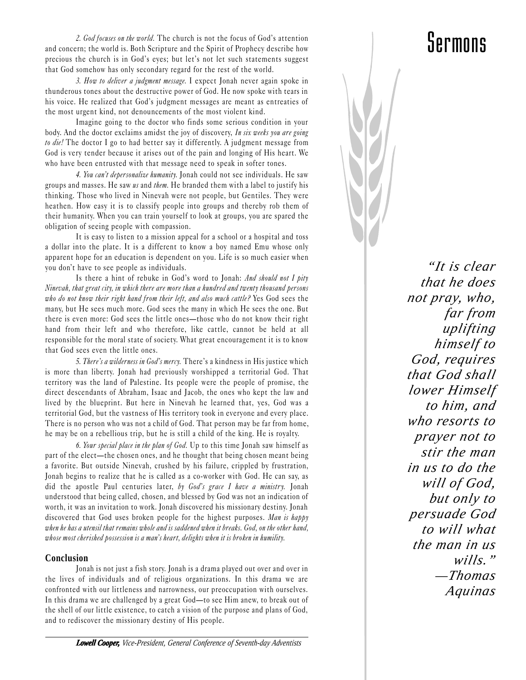2. God focuses on the world. The church is not the focus of God's attention and concern; the world is. Both Scripture and the Spirit of Prophecy describe how precious the church is in God's eyes; but let's not let such statements suggest that God somehow has only secondary regard for the rest of the world.

3. How to deliver a judgment message. I expect Jonah never again spoke in thunderous tones about the destructive power of God. He now spoke with tears in his voice. He realized that God's judgment messages are meant as entreaties of the most urgent kind, not denouncements of the most violent kind.

Imagine going to the doctor who finds some serious condition in your body. And the doctor exclaims amidst the joy of discovery, In six weeks you are going to die! The doctor I go to had better say it differently. A judgment message from God is very tender because it arises out of the pain and longing of His heart. We who have been entrusted with that message need to speak in softer tones.

4. You can't depersonalize humanity. Jonah could not see individuals. He saw groups and masses. He saw us and them. He branded them with a label to justify his thinking. Those who lived in Ninevah were not people, but Gentiles. They were heathen. How easy it is to classify people into groups and thereby rob them of their humanity. When you can train yourself to look at groups, you are spared the obligation of seeing people with compassion.

It is easy to listen to a mission appeal for a school or a hospital and toss a dollar into the plate. It is a different to know a boy named Emu whose only apparent hope for an education is dependent on you. Life is so much easier when you don't have to see people as individuals.

Is there a hint of rebuke in God's word to Jonah: And should not I pity Ninevah, that great city, in which there are more than a hundred and twenty thousand persons who do not know their right hand from their left, and also much cattle? Yes God sees the many, but He sees much more. God sees the many in which He sees the one. But there is even more: God sees the little ones—those who do not know their right hand from their left and who therefore, like cattle, cannot be held at all responsible for the moral state of society. What great encouragement it is to know that God sees even the little ones.

5. There's a wilderness in God's mercy. There's a kindness in His justice which is more than liberty. Jonah had previously worshipped a territorial God. That territory was the land of Palestine. Its people were the people of promise, the direct descendants of Abraham, Isaac and Jacob, the ones who kept the law and lived by the blueprint. But here in Ninevah he learned that, yes, God was a territorial God, but the vastness of His territory took in everyone and every place. There is no person who was not a child of God. That person may be far from home, he may be on a rebellious trip, but he is still a child of the king. He is royalty.

6. Your special place in the plan of God. Up to this time Jonah saw himself as part of the elect—the chosen ones, and he thought that being chosen meant being a favorite. But outside Ninevah, crushed by his failure, crippled by frustration, Jonah begins to realize that he is called as a co-worker with God. He can say, as did the apostle Paul centuries later, by  $God's\,\,grace\,\,I\,\,have\,\,a\,\,ministry.$  Jonah understood that being called, chosen, and blessed by God was not an indication of worth, it was an invitation to work. Jonah discovered his missionary destiny. Jonah discovered that God uses broken people for the highest purposes. Man is happy when he has a utensil that remains whole and is saddened when it breaks. God, on the other hand, whose most cherished possession is a man's heart, delights when it is broken in humility.

### **Conclusion**

Jonah is not just a fish story. Jonah is a drama played out over and over in the lives of individuals and of religious organizations. In this drama we are confronted with our littleness and narrowness, our preoccupation with ourselves. In this drama we are challenged by a great God-to see Him anew, to break out of the shell of our little existence, to catch a vision of the purpose and plans of God, and to rediscover the missionary destiny of His people.

*"It is clear that he does not pray, who, far from uplifting himself to God, requires that God shall lower Himself to him, and who resorts to prayer not to stir the man in us to do the will of God, but only to persuade God to will what the man in us wills." —Thomas Aquinas*

### Sermons

*Lowell Cooper, Vice-President, General Conference of Seventh-day Adventists*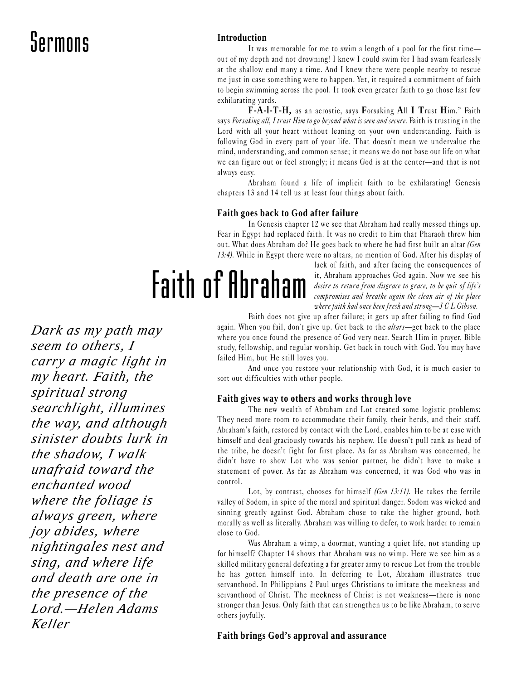### Sermons

### **Introduction**

It was memorable for me to swim a length of a pool for the first time out of my depth and not drowning! I knew I could swim for I had swam fearlessly at the shallow end many a time. And I knew there were people nearby to rescue me just in case something were to happen. Yet, it required a commitment of faith to begin swimming across the pool. It took even greater faith to go those last few exhilarating yards.

**F-A-l-T-H,** as an acrostic, says **F**orsaking **A**ll **I T**rust **H**im. Faith says Forsaking all, I trust Him to go beyond what is seen and secure. Faith is trusting in the Lord with all your heart without leaning on your own understanding. Faith is following God in every part of your life. That doesn't mean we undervalue the mind, understanding, and common sense; it means we do not base our life on what we can figure out or feel strongly; it means God is at the center—and that is not always easy.

Abraham found a life of implicit faith to be exhilarating! Genesis chapters 13 and 14 tell us at least four things about faith.

### **Faith goes back to God after failure**

In Genesis chapter 12 we see that Abraham had really messed things up. Fear in Egypt had replaced faith. It was no credit to him that Pharaoh threw him out. What does Abraham do? He goes back to where he had first built an altar (Gen 13:4). While in Egypt there were no altars, no mention of God. After his display of

Faith of Abraham

lack of faith, and after facing the consequences of it, Abraham approaches God again. Now we see his desire to return from disgrace to grace, to be quit of life's compromises and breathe again the clean air of the place where faith had once been fresh and strong- $J C L G$ ibson.

Faith does not give up after failure; it gets up after failing to find God again. When you fail, don't give up. Get back to the *altars*—get back to the place where you once found the presence of God very near. Search Him in prayer, Bible study, fellowship, and regular worship. Get back in touch with God. You may have failed Him, but He still loves you.

And once you restore your relationship with God, it is much easier to sort out difficulties with other people.

### **Faith gives way to others and works through love**

The new wealth of Abraham and Lot created some logistic problems: They need more room to accommodate their family, their herds, and their staff. Abraham's faith, restored by contact with the Lord, enables him to be at ease with himself and deal graciously towards his nephew. He doesn't pull rank as head of the tribe, he doesn't fight for first place. As far as Abraham was concerned, he didn't have to show Lot who was senior partner, he didn't have to make a statement of power. As far as Abraham was concerned, it was God who was in control.

Lot, by contrast, chooses for himself (Gen 13:11). He takes the fertile valley of Sodom, in spite of the moral and spiritual danger. Sodom was wicked and sinning greatly against God. Abraham chose to take the higher ground, both morally as well as literally. Abraham was willing to defer, to work harder to remain close to God.

Was Abraham a wimp, a doormat, wanting a quiet life, not standing up for himself? Chapter 14 shows that Abraham was no wimp. Here we see him as a skilled military general defeating a far greater army to rescue Lot from the trouble he has gotten himself into. In deferring to Lot, Abraham illustrates true servanthood. In Philippians 2 Paul urges Christians to imitate the meekness and servanthood of Christ. The meekness of Christ is not weakness-there is none stronger than Jesus. Only faith that can strengthen us to be like Abraham, to serve others joyfully.

### **Faith brings God's approval and assurance**

*Dark as my path may seem to others, I carry a magic light in my heart. Faith, the spiritual strong searchlight, illumines the way, and although sinister doubts lurk in the shadow, I walk unafraid toward the enchanted wood where the foliage is always green, where joy abides, where nightingales nest and sing, and where life and death are one in the presence of the Lord.—Helen Adams Keller*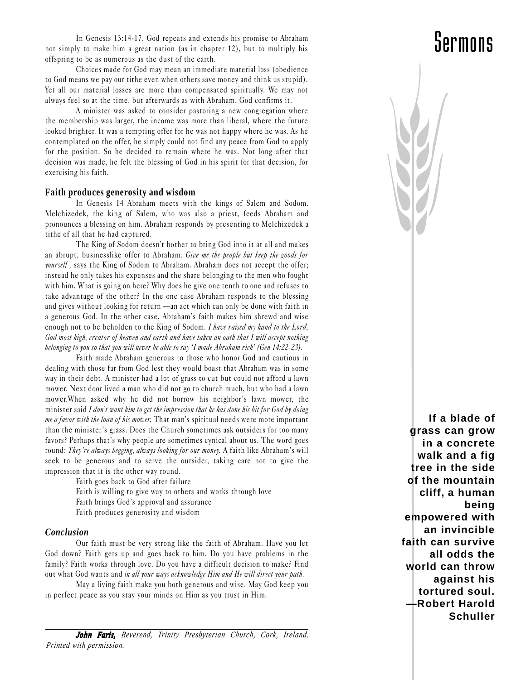In Genesis 13:14-17, God repeats and extends his promise to Abraham not simply to make him a great nation (as in chapter 12), but to multiply his offspring to be as numerous as the dust of the earth.

Choices made for God may mean an immediate material loss (obedience to God means we pay our tithe even when others save money and think us stupid). Yet all our material losses are more than compensated spiritually. We may not always feel so at the time, but afterwards as with Abraham, God confirms it.

A minister was asked to consider pastoring a new congregation where the membership was larger, the income was more than liberal, where the future looked brighter. It was a tempting offer for he was not happy where he was. As he contemplated on the offer, he simply could not find any peace from God to apply for the position. So he decided to remain where he was. Not long after that decision was made, he felt the blessing of God in his spirit for that decision, for exercising his faith.

#### **Faith produces generosity and wisdom**

In Genesis 14 Abraham meets with the kings of Salem and Sodom. Melchizedek, the king of Salem, who was also a priest, feeds Abraham and pronounces a blessing on him. Abraham responds by presenting to Melchizedek a tithe of all that he had captured.

The King of Sodom doesn't bother to bring God into it at all and makes an abrupt, businesslike offer to Abraham. Give me the people but keep the goods for yourself, says the King of Sodom to Abraham. Abraham does not accept the offer; instead he only takes his expenses and the share belonging to the men who fought with him. What is going on here? Why does he give one tenth to one and refuses to take advantage of the other? In the one case Abraham responds to the blessing and gives without looking for return —an act which can only be done with faith in a generous God. In the other case, Abraham's faith makes him shrewd and wise enough not to be beholden to the King of Sodom. I have raised my hand to the Lord, God most high, creator of heaven and earth and have taken an oath that I will accept nothing belonging to you so that you will never be able to say 'I made Abraham rich' (Gen 14:22-23).

Faith made Abraham generous to those who honor God and cautious in dealing with those far from God lest they would boast that Abraham was in some way in their debt. A minister had a lot of grass to cut but could not afford a lawn mower. Next door lived a man who did not go to church much, but who had a lawn mower. When asked why he did not borrow his neighbor's lawn mower, the minister said I don't want him to get the impression that he has done his bit for God by doing me a favor with the loan of his mower. That man's spiritual needs were more important than the minister's grass. Does the Church sometimes ask outsiders for too many favors? Perhaps that's why people are sometimes cynical about us. The word goes round: They're always begging, always looking for our money. A faith like Abraham's will seek to be generous and to serve the outsider, taking care not to give the impression that it is the other way round.

> Faith goes back to God after failure Faith is willing to give way to others and works through love Faith brings God's approval and assurance Faith produces generosity and wisdom

#### *Conclusion*

Our faith must be very strong like the faith of Abraham. Have you let God down? Faith gets up and goes back to him. Do you have problems in the family? Faith works through love. Do you have a difficult decision to make? Find out what God wants and in all your ways acknowledge Him and He will direct your path.

May a living faith make you both generous and wise. May God keep you in perfect peace as you stay your minds on Him as you trust in Him.

**If a blade of grass can grow in a concrete walk and a fig tree in the side of the mountain cliff, a human being empowered with an invincible faith can survive all odds the world can throw against his tortured soul. —Robert Harold Schuller**

### Sermons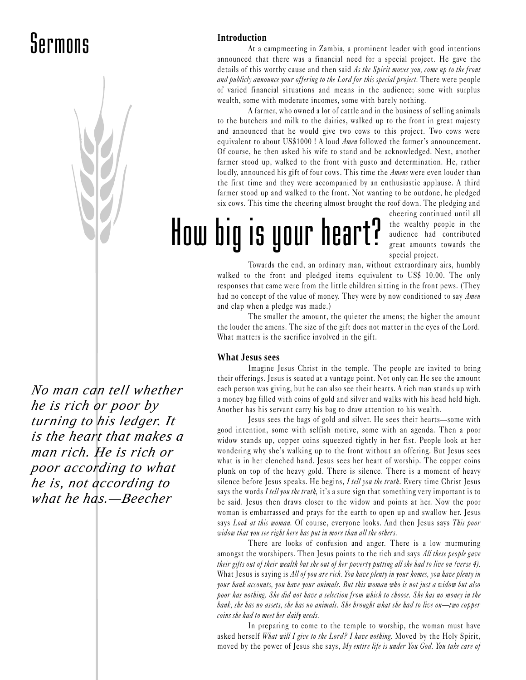### Sermons



*No man can tell whether he is rich or poor by turning to his ledger. It is the heart that makes a man rich. He is rich or poor according to what he is, not according to what he has.—Beecher*

### **Introduction**

At a campmeeting in Zambia, a prominent leader with good intentions announced that there was a financial need for a special project. He gave the details of this worthy cause and then said As the Spirit moves you, come up to the front and publicly announce your offering to the Lord for this special project. There were people of varied financial situations and means in the audience; some with surplus wealth, some with moderate incomes, some with barely nothing.

A farmer, who owned a lot of cattle and in the business of selling animals to the butchers and milk to the dairies, walked up to the front in great majesty and announced that he would give two cows to this project. Two cows were equivalent to about US\$1000 ! A loud  $A$ men followed the farmer's announcement. Of course, he then asked his wife to stand and be acknowledged. Next, another farmer stood up, walked to the front with gusto and determination. He, rather loudly, announced his gift of four cows. This time the *Amens* were even louder than the first time and they were accompanied by an enthusiastic applause. A third farmer stood up and walked to the front. Not wanting to be outdone, he pledged six cows. This time the cheering almost brought the roof down. The pledging and

## How big is your heart?

cheering continued until all the wealthy people in the audience had contributed great amounts towards the special project.

Towards the end, an ordinary man, without extraordinary airs, humbly walked to the front and pledged items equivalent to US\$ 10.00. The only responses that came were from the little children sitting in the front pews. (They had no concept of the value of money. They were by now conditioned to say Amen and clap when a pledge was made.)

The smaller the amount, the quieter the amens; the higher the amount the louder the amens. The size of the gift does not matter in the eyes of the Lord. What matters is the sacrifice involved in the gift.

### **What Jesus sees**

Imagine Jesus Christ in the temple. The people are invited to bring their offerings. Jesus is seated at a vantage point. Not only can He see the amount each person was giving, but he can also see their hearts. A rich man stands up with a money bag filled with coins of gold and silver and walks with his head held high. Another has his servant carry his bag to draw attention to his wealth.

Jesus sees the bags of gold and silver. He sees their hearts-some with good intention, some with selfish motive, some with an agenda. Then a poor widow stands up, copper coins squeezed tightly in her fist. People look at her wondering why she's walking up to the front without an offering. But Jesus sees what is in her clenched hand. Jesus sees her heart of worship. The copper coins plunk on top of the heavy gold. There is silence. There is a moment of heavy silence before Jesus speaks. He begins, I tell you the truth. Every time Christ Jesus says the words I tell you the truth, it's a sure sign that something very important is to be said. Jesus then draws closer to the widow and points at her. Now the poor woman is embarrassed and prays for the earth to open up and swallow her. Jesus says Look at this woman. Of course, everyone looks. And then Jesus says This poor widow that you see right here has put in more than all the others.

There are looks of confusion and anger. There is a low murmuring amongst the worshipers. Then Jesus points to the rich and says All these people gave their gifts out of their wealth but she out of her poverty putting all she had to live on (verse 4). What Jesus is saying is All of you are rich. You have plenty in your homes, you have plenty in your bank accounts, you have your animals. But this woman who is not just a widow but also poor has nothing. She did not have a selection from which to choose. She has no money in the bank, she has no assets, she has no animals. She brought what she had to live on-two copper coins she had to meet her daily needs.

In preparing to come to the temple to worship, the woman must have asked herself What will I give to the Lord? I have nothing. Moved by the Holy Spirit, moved by the power of Jesus she says, My entire life is under You God. You take care of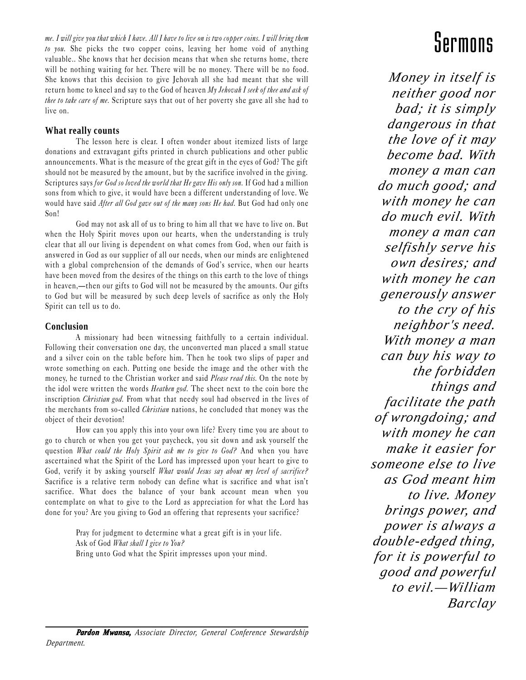me. I will give you that which I have. All I have to live on is two copper coins. I will bring them to you. She picks the two copper coins, leaving her home void of anything valuable.. She knows that her decision means that when she returns home, there will be nothing waiting for her. There will be no money. There will be no food. She knows that this decision to give Jehovah all she had meant that she will return home to kneel and say to the God of heaven My Jehovah I seek of thee and ask of thee to take care of me. Scripture says that out of her poverty she gave all she had to live on.

### **What really counts**

The lesson here is clear. I often wonder about itemized lists of large donations and extravagant gifts printed in church publications and other public announcements. What is the measure of the great gift in the eyes of God? The gift should not be measured by the amount, but by the sacrifice involved in the giving. Scriptures says for God so loved the world that He gave His only son. If God had a million sons from which to give, it would have been a different understanding of love. We would have said After all God gave out of the many sons He had. But God had only one Son!

God may not ask all of us to bring to him all that we have to live on. But when the Holy Spirit moves upon our hearts, when the understanding is truly clear that all our living is dependent on what comes from God, when our faith is answered in God as our supplier of all our needs, when our minds are enlightened with a global comprehension of the demands of God's service, when our hearts have been moved from the desires of the things on this earth to the love of things in heaven,—then our gifts to God will not be measured by the amounts. Our gifts to God but will be measured by such deep levels of sacrifice as only the Holy Spirit can tell us to do.

### **Conclusion**

A missionary had been witnessing faithfully to a certain individual. Following their conversation one day, the unconverted man placed a small statue and a silver coin on the table before him. Then he took two slips of paper and wrote something on each. Putting one beside the image and the other with the money, he turned to the Christian worker and said *Please read this*. On the note by the idol were written the words Heathen god. The sheet next to the coin bore the inscription *Christian god*. From what that needy soul had observed in the lives of the merchants from so-called *Christian* nations, he concluded that money was the object of their devotion!

How can you apply this into your own life? Every time you are about to go to church or when you get your paycheck, you sit down and ask yourself the question *What could the Holy Spirit ask me to give to God?* And when you have ascertained what the Spirit of the Lord has impressed upon your heart to give to God, verify it by asking yourself What would Jesus say about my level of sacrifice? Sacrifice is a relative term nobody can define what is sacrifice and what isn't sacrifice. What does the balance of your bank account mean when you contemplate on what to give to the Lord as appreciation for what the Lord has done for you? Are you giving to God an offering that represents your sacrifice?

> Pray for judgment to determine what a great gift is in your life. Ask of God What shall I give to You? Bring unto God what the Spirit impresses upon your mind.

### Sermons

*Money in itself is neither good nor bad; it is simply dangerous in that the love of it may become bad. With money a man can do much good; and with money he can do much evil. With money a man can selfishly serve his own desires; and with money he can generously answer to the cry of his neighbor's need. With money a man can buy his way to the forbidden things and facilitate the path of wrongdoing; and with money he can make it easier for someone else to live as God meant him to live. Money brings power, and power is always a double-edged thing, for it is powerful to good and powerful to evil.—William Barclay*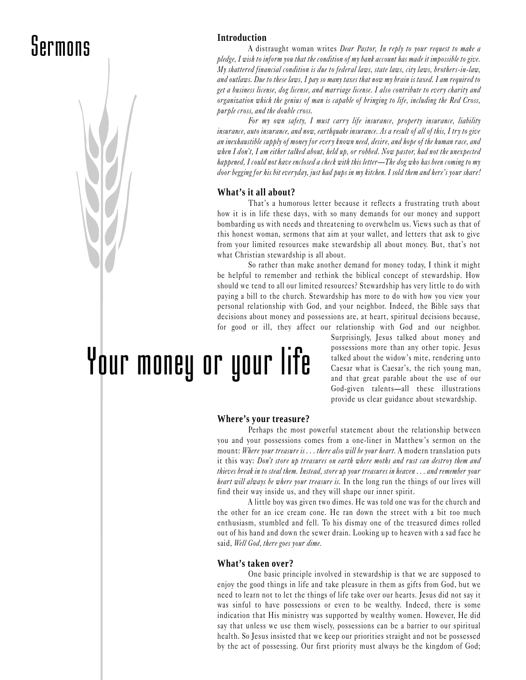### Sermons Introduction



A distraught woman writes Dear Pastor, In reply to your request to make a pledge, I wish to inform you that the condition of my bank account has made it impossible to give. My shattered financial condition is due to federal laws, state laws, city laws, brothers-in-law, and outlaws. Due to these laws, I pay so many taxes that now my brain is taxed. I am required to get a business license, dog license, and marriage license. I also contribute to every charity and organization which the genius of man is capable of bringing to life, including the Red Cross, purple cross, and the double cross.

For my own safety, I must carry life insurance, property insurance, liability insurance, auto insurance, and now, earthquake insurance. As a result of all of this, I try to give an inexhaustible supply of money for every known need, desire, and hope of the human race, and when I don't, I am either talked about, held up, or robbed. Now pastor, had not the unexpected happened, I could not have enclosed a check with this letter—The dog who has been coming to my door begging for his bit everyday, just had pups in my kitchen. I sold them and here's your share!

#### **What's it all about?**

That's a humorous letter because it reflects a frustrating truth about how it is in life these days, with so many demands for our money and support bombarding us with needs and threatening to overwhelm us. Views such as that of this honest woman, sermons that aim at your wallet, and letters that ask to give from your limited resources make stewardship all about money. But, that's not what Christian stewardship is all about.

So rather than make another demand for money today, I think it might be helpful to remember and rethink the biblical concept of stewardship. How should we tend to all our limited resources? Stewardship has very little to do with paying a bill to the church. Stewardship has more to do with how you view your personal relationship with God, and your neighbor. Indeed, the Bible says that decisions about money and possessions are, at heart, spiritual decisions because, for good or ill, they affect our relationship with God and our neighbor.

Your money or your life

Surprisingly, Jesus talked about money and possessions more than any other topic. Jesus talked about the widow's mite, rendering unto Caesar what is Caesar's, the rich young man, and that great parable about the use of our God-given talents—all these illustrations provide us clear guidance about stewardship.

#### **Where's your treasure?**

Perhaps the most powerful statement about the relationship between you and your possessions comes from a one-liner in Matthew's sermon on the mount: Where your treasure is ... there also will be your heart. A modern translation puts it this way: Don't store up treasures on earth where moths and rust can destroy them and thieves break in to steal them. Instead, store up your treasures in heaven . . . and remember your heart will always be where your treasure is. In the long run the things of our lives will find their way inside us, and they will shape our inner spirit.

A little boy was given two dimes. He was told one was for the church and the other for an ice cream cone. He ran down the street with a bit too much enthusiasm, stumbled and fell. To his dismay one of the treasured dimes rolled out of his hand and down the sewer drain. Looking up to heaven with a sad face he said, Well God, there goes your dime.

#### **What's taken over?**

One basic principle involved in stewardship is that we are supposed to enjoy the good things in life and take pleasure in them as gifts from God, but we need to learn not to let the things of life take over our hearts. Jesus did not say it was sinful to have possessions or even to be wealthy. Indeed, there is some indication that His ministry was supported by wealthy women. However, He did say that unless we use them wisely, possessions can be a barrier to our spiritual health. So Jesus insisted that we keep our priorities straight and not be possessed by the act of possessing. Our first priority must always be the kingdom of God;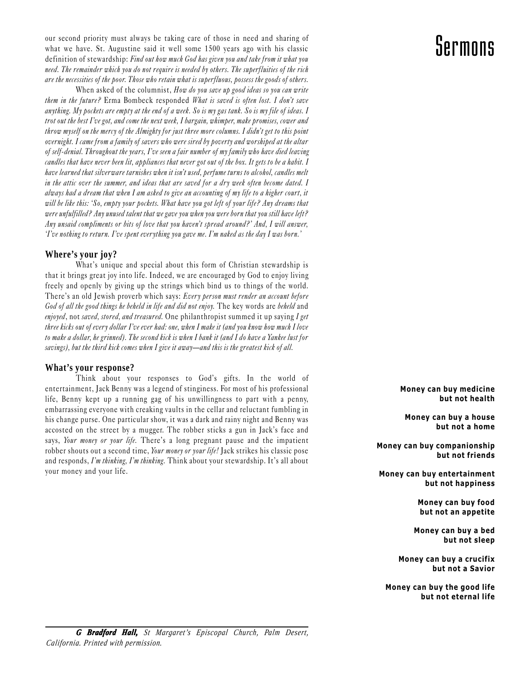our second priority must always be taking care of those in need and sharing of  $\mathbb{C}$   $\mathbb{C}$   $\mathbb{C}$   $\mathbb{C}$   $\mathbb{C}$   $\mathbb{C}$   $\mathbb{C}$   $\mathbb{C}$   $\mathbb{C}$   $\mathbb{C}$   $\mathbb{C}$   $\mathbb{C}$   $\mathbb{C}$   $\mathbb{C}$   $\mathbb{C}$   $\mathbb{C}$ what we have. St. Augustine said it well some 1500 years ago with his classic definition of stewardship: Find out how much God has given you and take from it what you need. The remainder which you do not require is needed by others. The superfluities of the rich are the necessities of the poor. Those who retain what is superfluous, possess the goods of others.

When asked of the columnist, How do you save up good ideas so you can write them in the future? Erma Bombeck responded What is saved is often lost. I don't save anything. My pockets are empty at the end of a week. So is my gas tank. So is my file of ideas. I trot out the best Ive got, and come the next week, I bargain, whimper, make promises, cower and throw myself on the mercy of the Almighty for just three more columns. I didn't get to this point overnight. I came from a family of savers who were sired by poverty and worshiped at the altar of self-denial. Throughout the years, I've seen a fair number of my family who have died leaving candles that have never been lit, appliances that never got out of the box. It gets to be a habit. I have learned that silverware tarnishes when it isn't used, perfume turns to alcohol, candles melt in the attic over the summer, and ideas that are saved for a dry week often become dated. I always had a dream that when I am asked to give an accounting of my life to a higher court, it will be like this: So, empty your pockets. What have you got left of your life? Any dreams that were unfulfilled? Any unused talent that we gave you when you were born that you still have left? Any unsaid compliments or bits of love that you haven't spread around?' And, I will answer, 'I've nothing to return. I've spent everything you gave me. I'm naked as the day I was born.'

### **Where's your joy?**

What's unique and special about this form of Christian stewardship is that it brings great joy into life. Indeed, we are encouraged by God to enjoy living freely and openly by giving up the strings which bind us to things of the world. There's an old Jewish proverb which says: Every person must render an account before God of all the good things he beheld in life and did not enjoy. The key words are beheld and enjoyed, not saved, stored, and treasured. One philanthropist summed it up saying I get three kicks out of every dollar I've ever had: one, when I make it (and you know how much I love to make a dollar, he grinned). The second kick is when I bank it (and I do have a Yankee lust for savings), but the third kick comes when I give it away—and this is the greatest kick of all.

### **What's your response?**

Think about your responses to God's gifts. In the world of entertainment, Jack Benny was a legend of stinginess. For most of his professional life, Benny kept up a running gag of his unwillingness to part with a penny, embarrassing everyone with creaking vaults in the cellar and reluctant fumbling in his change purse. One particular show, it was a dark and rainy night and Benny was accosted on the street by a mugger. The robber sticks a gun in Jack's face and says, Your money or your life. There's a long pregnant pause and the impatient robber shouts out a second time, Your money or your life! Jack strikes his classic pose and responds, I'm thinking, I'm thinking. Think about your stewardship. It's all about your money and your life.

Money can buy medicine but not health

Money can buy a house but not a home

Money can buy companionship but not friends

 Money can buy entertainment but not happiness

> Money can buy food but not an appetite

Money can buy a bed but not sleep

Money can buy a crucifix but not a Savior

Money can buy the good life but not eternal life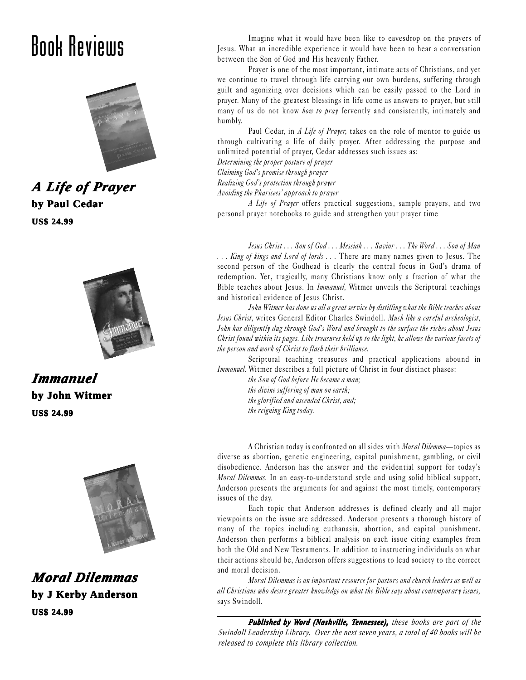

*A Life of Pr e Prayer* **by Paul Cedar US\$ 24.99**



*Immanuel Immanuel* **by John Witmer US\$ 24.99**



*Moral Dilemmas Moral*  **by J Kerby Anderson US\$ 24.99**

Imagine what it would have been like to eavesdrop on the prayers of<br>Jesus. What an incredible experience it would have been to hear a conversation<br>between the Son of God and His heavenly Father. Jesus. What an incredible experience it would have been to hear a conversation between the Son of God and His heavenly Father.

> Prayer is one of the most important, intimate acts of Christians, and yet we continue to travel through life carrying our own burdens, suffering through guilt and agonizing over decisions which can be easily passed to the Lord in prayer. Many of the greatest blessings in life come as answers to prayer, but still many of us do not know *how to pray* fervently and consistently, intimately and humbly.

> Paul Cedar, in A Life of Prayer, takes on the role of mentor to guide us through cultivating a life of daily prayer. After addressing the purpose and unlimited potential of prayer, Cedar addresses such issues as:

Determining the proper posture of prayer

Claiming God's promise through prayer

Realizing God's protection through prayer

Avoiding the Pharisees' approach to prayer

A Life of Prayer offers practical suggestions, sample prayers, and two personal prayer notebooks to guide and strengthen your prayer time

Jesus Christ . . . Son of God . . . Messiah . . . Savior . . . The Word . . . Son of Man ... King of kings and Lord of lords ... There are many names given to Jesus. The second person of the Godhead is clearly the central focus in God's drama of redemption. Yet, tragically, many Christians know only a fraction of what the Bible teaches about Jesus. In Immanuel, Witmer unveils the Scriptural teachings and historical evidence of Jesus Christ.

John Witmer has done us all a great service by distilling what the Bible teaches about Jesus Christ, writes General Editor Charles Swindoll. Much like a careful archeologist, John has diligently dug through God's Word and brought to the surface the riches about Jesus Christ found within its pages. Like treasures held up to the light, he allows the various facets of the person and work of Christ to flash their brilliance.

Scriptural teaching treasures and practical applications abound in Immanuel. Witmer describes a full picture of Christ in four distinct phases:

> the Son of God before He became a man; the divine suffering of man on earth; the glorified and ascended Christ, and; the reigning King today.

A Christian today is confronted on all sides with *Moral Dilemma*—topics as diverse as abortion, genetic engineering, capital punishment, gambling, or civil disobedience. Anderson has the answer and the evidential support for today's Moral Dilemmas. In an easy-to-understand style and using solid biblical support, Anderson presents the arguments for and against the most timely, contemporary issues of the day.

Each topic that Anderson addresses is defined clearly and all major viewpoints on the issue are addressed. Anderson presents a thorough history of many of the topics including euthanasia, abortion, and capital punishment. Anderson then performs a biblical analysis on each issue citing examples from both the Old and New Testaments. In addition to instructing individuals on what their actions should be, Anderson offers suggestions to lead society to the correct and moral decision.

Moral Dilemmas is an important resource for pastors and church leaders as well as all Christians who desire greater knowledge on what the Bible says about contemporary issues, says Swindoll.

**Published by Word (Nashville, Tennessee),** these books are part of the *Swindoll Leadership Library. Over the next seven years, a total of 40 books will be released to complete this library collection.*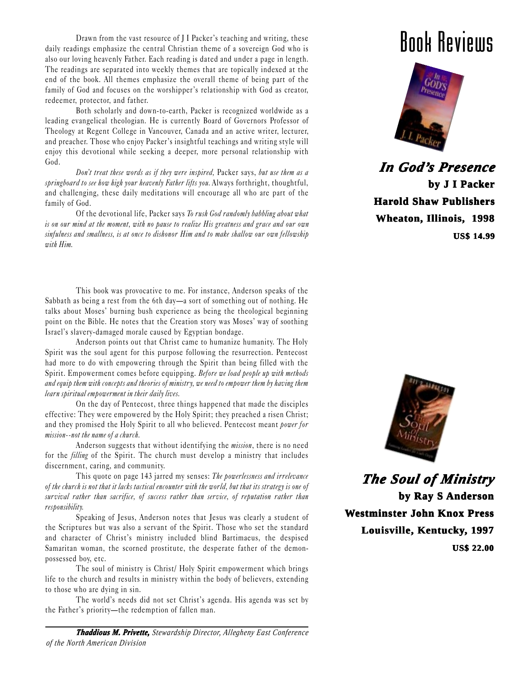Drawn from the vast resource of J I Packer's teaching and writing, these daily readings emphasize the central Christian theme of a sovereign God who is also our loving heavenly Father. Each reading is dated and under a page in length. The readings are separated into weekly themes that are topically indexed at the end of the book. All themes emphasize the overall theme of being part of the family of God and focuses on the worshipper's relationship with God as creator, redeemer, protector, and father.

Both scholarly and down-to-earth, Packer is recognized worldwide as a leading evangelical theologian. He is currently Board of Governors Professor of Theology at Regent College in Vancouver, Canada and an active writer, lecturer, and preacher. Those who enjoy Packer's insightful teachings and writing style will enjoy this devotional while seeking a deeper, more personal relationship with God.

Don't treat these words as if they were inspired, Packer says, but use them as a springboard to see how high your heavenly Father lifts you. Always forthright, thoughtful, and challenging, these daily meditations will encourage all who are part of the family of God.

Of the devotional life, Packer says To rush God randomly babbling about what is on our mind at the moment, with no pause to realize His greatness and grace and our own sinfulness and smallness, is at once to dishonor Him and to make shallow our own fellowship with Him.

This book was provocative to me. For instance, Anderson speaks of the Sabbath as being a rest from the 6th day—a sort of something out of nothing. He talks about Moses' burning bush experience as being the theological beginning point on the Bible. He notes that the Creation story was Moses' way of soothing Israel's slavery-damaged morale caused by Egyptian bondage.

Anderson points out that Christ came to humanize humanity. The Holy Spirit was the soul agent for this purpose following the resurrection. Pentecost had more to do with empowering through the Spirit than being filled with the Spirit. Empowerment comes before equipping. Before we load people up with methods and equip them with concepts and theories of ministry, we need to empower them by having them learn spiritual empowerment in their daily lives.

On the day of Pentecost, three things happened that made the disciples effective: They were empowered by the Holy Spirit; they preached a risen Christ; and they promised the Holy Spirit to all who believed. Pentecost meant power for mission--not the name of a church.

Anderson suggests that without identifying the *mission*, there is no need for the *filling* of the Spirit. The church must develop a ministry that includes discernment, caring, and community.

This quote on page 143 jarred my senses: The powerlessness and irrelevance of the church is not that it lacks tactical encounter with the world, but that its strategy is one of survival rather than sacrifice, of success rather than service, of reputation rather than responsibility.

Speaking of Jesus, Anderson notes that Jesus was clearly a student of the Scriptures but was also a servant of the Spirit. Those who set the standard and character of Christ's ministry included blind Bartimaeus, the despised Samaritan woman, the scorned prostitute, the desperate father of the demonpossessed boy, etc.

The soul of ministry is Christ/ Holy Spirit empowerment which brings life to the church and results in ministry within the body of believers, extending to those who are dying in sin.

The world's needs did not set Christ's agenda. His agenda was set by the Father's priority-the redemption of fallen man.





*In God' In God's Presence*  **by J I Packer Harold Shaw Publishers Wheaton, Illinois, 1998 US\$ 14.99**



*The Soul of Ministry The Soul Ministry*  **by Ray S Anderson Westminster John Knox Press Louisville, Kentucky, 1997 US\$ 22.00**